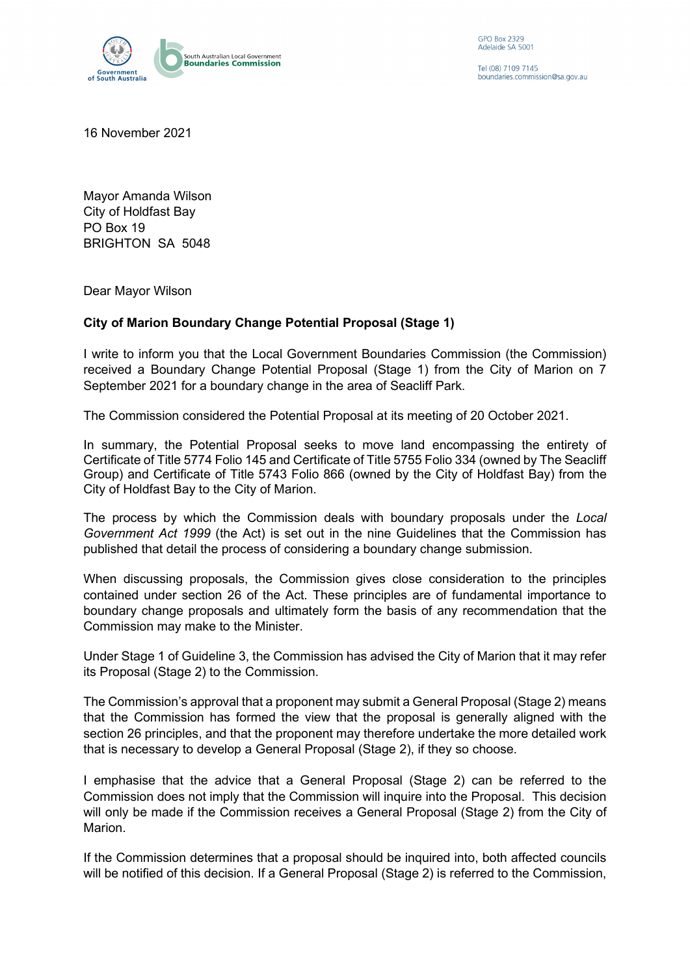

GPO Box 2329 Adelaide SA 5001

Tel (08) 7109 7145 boundaries.commission@sa.gov.au

16 November 2021

Mayor Amanda Wilson City of Holdfast Bay PO Box 19 BRIGHTON SA 5048

Dear Mayor Wilson

## **City of Marion Boundary Change Potential Proposal (Stage 1)**

I write to inform you that the Local Government Boundaries Commission (the Commission) received a Boundary Change Potential Proposal (Stage 1) from the City of Marion on 7 September 2021 for a boundary change in the area of Seacliff Park.

The Commission considered the Potential Proposal at its meeting of 20 October 2021.

In summary, the Potential Proposal seeks to move land encompassing the entirety of Certificate of Title 5774 Folio 145 and Certificate of Title 5755 Folio 334 (owned by The Seacliff Group) and Certificate of Title 5743 Folio 866 (owned by the City of Holdfast Bay) from the City of Holdfast Bay to the City of Marion.

The process by which the Commission deals with boundary proposals under the *Local Government Act 1999* (the Act) is set out in the nine Guidelines that the Commission has published that detail the process of considering a boundary change submission.

When discussing proposals, the Commission gives close consideration to the principles contained under section 26 of the Act. These principles are of fundamental importance to boundary change proposals and ultimately form the basis of any recommendation that the Commission may make to the Minister.

Under Stage 1 of Guideline 3, the Commission has advised the City of Marion that it may refer its Proposal (Stage 2) to the Commission.

The Commission's approval that a proponent may submit a General Proposal (Stage 2) means that the Commission has formed the view that the proposal is generally aligned with the section 26 principles, and that the proponent may therefore undertake the more detailed work that is necessary to develop a General Proposal (Stage 2), if they so choose.

I emphasise that the advice that a General Proposal (Stage 2) can be referred to the Commission does not imply that the Commission will inquire into the Proposal. This decision will only be made if the Commission receives a General Proposal (Stage 2) from the City of Marion.

If the Commission determines that a proposal should be inquired into, both affected councils will be notified of this decision. If a General Proposal (Stage 2) is referred to the Commission,